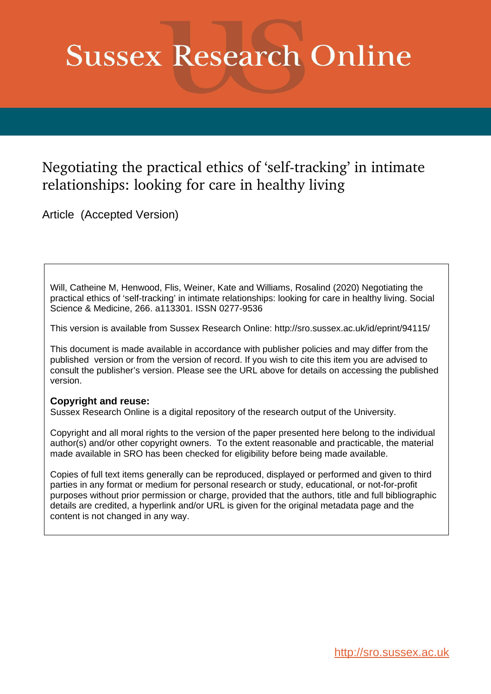# **Sussex Research Online**

# Negotiating the practical ethics of 'self-tracking' in intimate relationships: looking for care in healthy living

Article (Accepted Version)

Will, Catheine M, Henwood, Flis, Weiner, Kate and Williams, Rosalind (2020) Negotiating the practical ethics of 'self-tracking' in intimate relationships: looking for care in healthy living. Social Science & Medicine, 266. a113301. ISSN 0277-9536

This version is available from Sussex Research Online: http://sro.sussex.ac.uk/id/eprint/94115/

This document is made available in accordance with publisher policies and may differ from the published version or from the version of record. If you wish to cite this item you are advised to consult the publisher's version. Please see the URL above for details on accessing the published version.

#### **Copyright and reuse:**

Sussex Research Online is a digital repository of the research output of the University.

Copyright and all moral rights to the version of the paper presented here belong to the individual author(s) and/or other copyright owners. To the extent reasonable and practicable, the material made available in SRO has been checked for eligibility before being made available.

Copies of full text items generally can be reproduced, displayed or performed and given to third parties in any format or medium for personal research or study, educational, or not-for-profit purposes without prior permission or charge, provided that the authors, title and full bibliographic details are credited, a hyperlink and/or URL is given for the original metadata page and the content is not changed in any way.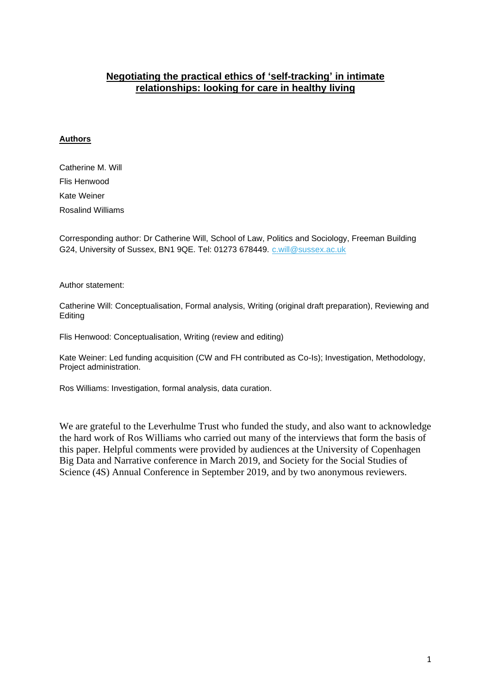#### **Negotiating the practical ethics of 'self-tracking' in intimate relationships: looking for care in healthy living**

#### **Authors**

Catherine M. Will Flis Henwood Kate Weiner Rosalind Williams

Corresponding author: Dr Catherine Will, School of Law, Politics and Sociology, Freeman Building G24, University of Sussex, BN1 9QE. Tel: 01273 678449. [c.will@sussex.ac.uk](mailto:c.will@sussex.ac.uk)

Author statement:

Catherine Will: Conceptualisation, Formal analysis, Writing (original draft preparation), Reviewing and Editing

Flis Henwood: Conceptualisation, Writing (review and editing)

Kate Weiner: Led funding acquisition (CW and FH contributed as Co-Is); Investigation, Methodology, Project administration.

Ros Williams: Investigation, formal analysis, data curation.

We are grateful to the Leverhulme Trust who funded the study, and also want to acknowledge the hard work of Ros Williams who carried out many of the interviews that form the basis of this paper. Helpful comments were provided by audiences at the University of Copenhagen Big Data and Narrative conference in March 2019, and Society for the Social Studies of Science (4S) Annual Conference in September 2019, and by two anonymous reviewers.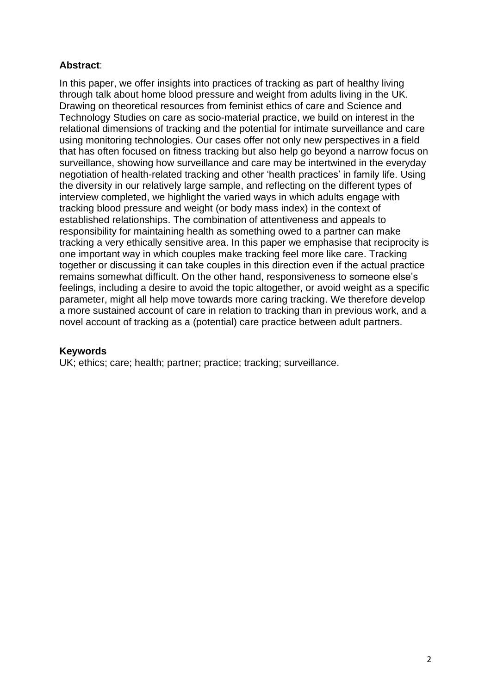# **Abstract**:

In this paper, we offer insights into practices of tracking as part of healthy living through talk about home blood pressure and weight from adults living in the UK. Drawing on theoretical resources from feminist ethics of care and Science and Technology Studies on care as socio-material practice, we build on interest in the relational dimensions of tracking and the potential for intimate surveillance and care using monitoring technologies. Our cases offer not only new perspectives in a field that has often focused on fitness tracking but also help go beyond a narrow focus on surveillance, showing how surveillance and care may be intertwined in the everyday negotiation of health-related tracking and other 'health practices' in family life. Using the diversity in our relatively large sample, and reflecting on the different types of interview completed, we highlight the varied ways in which adults engage with tracking blood pressure and weight (or body mass index) in the context of established relationships. The combination of attentiveness and appeals to responsibility for maintaining health as something owed to a partner can make tracking a very ethically sensitive area. In this paper we emphasise that reciprocity is one important way in which couples make tracking feel more like care. Tracking together or discussing it can take couples in this direction even if the actual practice remains somewhat difficult. On the other hand, responsiveness to someone else's feelings, including a desire to avoid the topic altogether, or avoid weight as a specific parameter, might all help move towards more caring tracking. We therefore develop a more sustained account of care in relation to tracking than in previous work, and a novel account of tracking as a (potential) care practice between adult partners.

#### **Keywords**

UK; ethics; care; health; partner; practice; tracking; surveillance.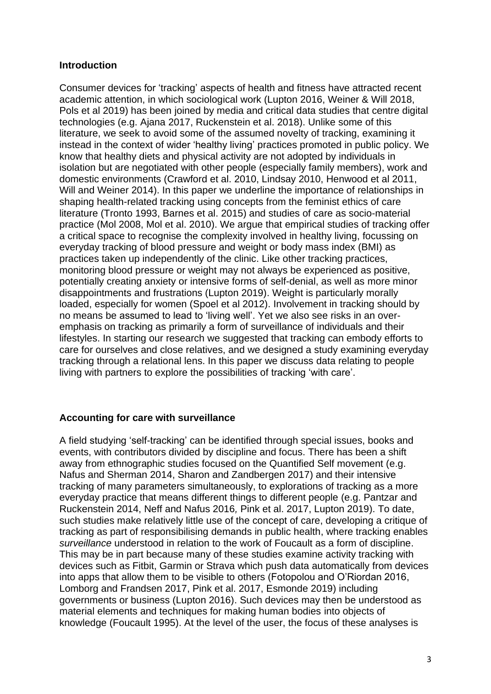#### **Introduction**

Consumer devices for 'tracking' aspects of health and fitness have attracted recent academic attention, in which sociological work (Lupton 2016, Weiner & Will 2018, Pols et al 2019) has been joined by media and critical data studies that centre digital technologies (e.g. Ajana 2017, Ruckenstein et al. 2018). Unlike some of this literature, we seek to avoid some of the assumed novelty of tracking, examining it instead in the context of wider 'healthy living' practices promoted in public policy. We know that healthy diets and physical activity are not adopted by individuals in isolation but are negotiated with other people (especially family members), work and domestic environments (Crawford et al. 2010, Lindsay 2010, Henwood et al 2011, Will and Weiner 2014). In this paper we underline the importance of relationships in shaping health-related tracking using concepts from the feminist ethics of care literature (Tronto 1993, Barnes et al. 2015) and studies of care as socio-material practice (Mol 2008, Mol et al. 2010). We argue that empirical studies of tracking offer a critical space to recognise the complexity involved in healthy living, focussing on everyday tracking of blood pressure and weight or body mass index (BMI) as practices taken up independently of the clinic. Like other tracking practices, monitoring blood pressure or weight may not always be experienced as positive, potentially creating anxiety or intensive forms of self-denial, as well as more minor disappointments and frustrations (Lupton 2019). Weight is particularly morally loaded, especially for women (Spoel et al 2012). Involvement in tracking should by no means be assumed to lead to 'living well'. Yet we also see risks in an overemphasis on tracking as primarily a form of surveillance of individuals and their lifestyles. In starting our research we suggested that tracking can embody efforts to care for ourselves and close relatives, and we designed a study examining everyday tracking through a relational lens. In this paper we discuss data relating to people living with partners to explore the possibilities of tracking 'with care'.

# **Accounting for care with surveillance**

A field studying 'self-tracking' can be identified through special issues, books and events, with contributors divided by discipline and focus. There has been a shift away from ethnographic studies focused on the Quantified Self movement (e.g. Nafus and Sherman 2014, Sharon and Zandbergen 2017) and their intensive tracking of many parameters simultaneously, to explorations of tracking as a more everyday practice that means different things to different people (e.g. Pantzar and Ruckenstein 2014, Neff and Nafus 2016*,* Pink et al. 2017, Lupton 2019). To date, such studies make relatively little use of the concept of care, developing a critique of tracking as part of responsibilising demands in public health, where tracking enables *surveillance* understood in relation to the work of Foucault as a form of discipline. This may be in part because many of these studies examine activity tracking with devices such as Fitbit, Garmin or Strava which push data automatically from devices into apps that allow them to be visible to others (Fotopolou and O'Riordan 2016, Lomborg and Frandsen 2017, Pink et al. 2017, Esmonde 2019) including governments or business (Lupton 2016). Such devices may then be understood as material elements and techniques for making human bodies into objects of knowledge (Foucault 1995). At the level of the user, the focus of these analyses is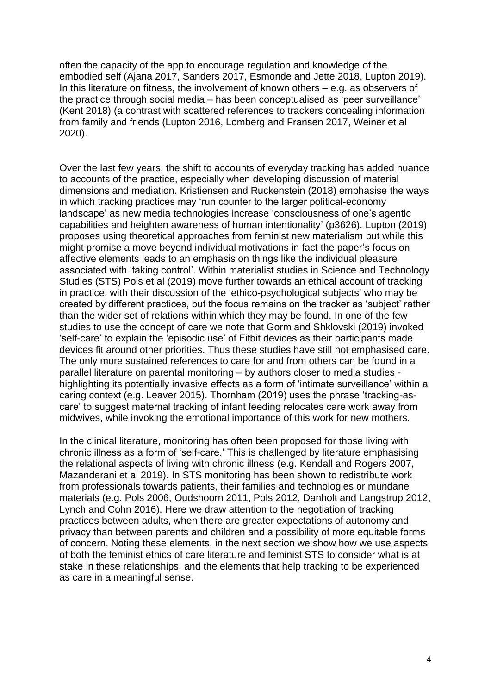often the capacity of the app to encourage regulation and knowledge of the embodied self (Ajana 2017, Sanders 2017, Esmonde and Jette 2018, Lupton 2019). In this literature on fitness, the involvement of known others – e.g. as observers of the practice through social media – has been conceptualised as 'peer surveillance' (Kent 2018) (a contrast with scattered references to trackers concealing information from family and friends (Lupton 2016, Lomberg and Fransen 2017, Weiner et al 2020).

Over the last few years, the shift to accounts of everyday tracking has added nuance to accounts of the practice, especially when developing discussion of material dimensions and mediation. Kristiensen and Ruckenstein (2018) emphasise the ways in which tracking practices may 'run counter to the larger political-economy landscape' as new media technologies increase 'consciousness of one's agentic capabilities and heighten awareness of human intentionality' (p3626). Lupton (2019) proposes using theoretical approaches from feminist new materialism but while this might promise a move beyond individual motivations in fact the paper's focus on affective elements leads to an emphasis on things like the individual pleasure associated with 'taking control'. Within materialist studies in Science and Technology Studies (STS) Pols et al (2019) move further towards an ethical account of tracking in practice, with their discussion of the 'ethico-psychological subjects' who may be created by different practices, but the focus remains on the tracker as 'subject' rather than the wider set of relations within which they may be found. In one of the few studies to use the concept of care we note that Gorm and Shklovski (2019) invoked 'self-care' to explain the 'episodic use' of Fitbit devices as their participants made devices fit around other priorities. Thus these studies have still not emphasised care. The only more sustained references to care for and from others can be found in a parallel literature on parental monitoring – by authors closer to media studies highlighting its potentially invasive effects as a form of 'intimate surveillance' within a caring context (e.g. Leaver 2015). Thornham (2019) uses the phrase 'tracking-ascare' to suggest maternal tracking of infant feeding relocates care work away from midwives, while invoking the emotional importance of this work for new mothers.

In the clinical literature, monitoring has often been proposed for those living with chronic illness as a form of 'self-care.' This is challenged by literature emphasising the relational aspects of living with chronic illness (e.g. Kendall and Rogers 2007, Mazanderani et al 2019). In STS monitoring has been shown to redistribute work from professionals towards patients, their families and technologies or mundane materials (e.g. Pols 2006, Oudshoorn 2011, Pols 2012, Danholt and Langstrup 2012, Lynch and Cohn 2016). Here we draw attention to the negotiation of tracking practices between adults, when there are greater expectations of autonomy and privacy than between parents and children and a possibility of more equitable forms of concern. Noting these elements, in the next section we show how we use aspects of both the feminist ethics of care literature and feminist STS to consider what is at stake in these relationships, and the elements that help tracking to be experienced as care in a meaningful sense.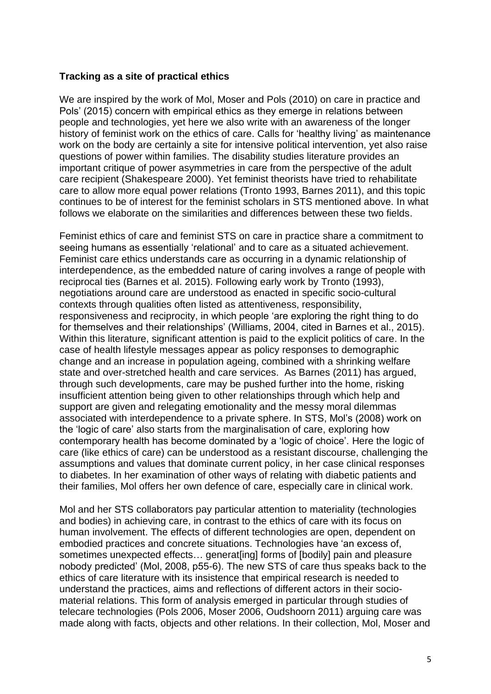#### **Tracking as a site of practical ethics**

We are inspired by the work of Mol, Moser and Pols (2010) on care in practice and Pols' (2015) concern with empirical ethics as they emerge in relations between people and technologies, yet here we also write with an awareness of the longer history of feminist work on the ethics of care. Calls for 'healthy living' as maintenance work on the body are certainly a site for intensive political intervention, yet also raise questions of power within families. The disability studies literature provides an important critique of power asymmetries in care from the perspective of the adult care recipient (Shakespeare 2000). Yet feminist theorists have tried to rehabilitate care to allow more equal power relations (Tronto 1993, Barnes 2011), and this topic continues to be of interest for the feminist scholars in STS mentioned above. In what follows we elaborate on the similarities and differences between these two fields.

Feminist ethics of care and feminist STS on care in practice share a commitment to seeing humans as essentially 'relational' and to care as a situated achievement. Feminist care ethics understands care as occurring in a dynamic relationship of interdependence, as the embedded nature of caring involves a range of people with reciprocal ties (Barnes et al. 2015). Following early work by Tronto (1993), negotiations around care are understood as enacted in specific socio-cultural contexts through qualities often listed as attentiveness, responsibility, responsiveness and reciprocity, in which people 'are exploring the right thing to do for themselves and their relationships' (Williams, 2004, cited in Barnes et al., 2015). Within this literature, significant attention is paid to the explicit politics of care. In the case of health lifestyle messages appear as policy responses to demographic change and an increase in population ageing, combined with a shrinking welfare state and over-stretched health and care services. As Barnes (2011) has argued, through such developments, care may be pushed further into the home, risking insufficient attention being given to other relationships through which help and support are given and relegating emotionality and the messy moral dilemmas associated with interdependence to a private sphere. In STS, Mol's (2008) work on the 'logic of care' also starts from the marginalisation of care, exploring how contemporary health has become dominated by a 'logic of choice'. Here the logic of care (like ethics of care) can be understood as a resistant discourse, challenging the assumptions and values that dominate current policy, in her case clinical responses to diabetes. In her examination of other ways of relating with diabetic patients and their families, Mol offers her own defence of care, especially care in clinical work.

Mol and her STS collaborators pay particular attention to materiality (technologies and bodies) in achieving care, in contrast to the ethics of care with its focus on human involvement. The effects of different technologies are open, dependent on embodied practices and concrete situations. Technologies have 'an excess of, sometimes unexpected effects... generatiing forms of [bodily] pain and pleasure nobody predicted' (Mol, 2008, p55-6). The new STS of care thus speaks back to the ethics of care literature with its insistence that empirical research is needed to understand the practices, aims and reflections of different actors in their sociomaterial relations. This form of analysis emerged in particular through studies of telecare technologies (Pols 2006, Moser 2006, Oudshoorn 2011) arguing care was made along with facts, objects and other relations. In their collection, Mol, Moser and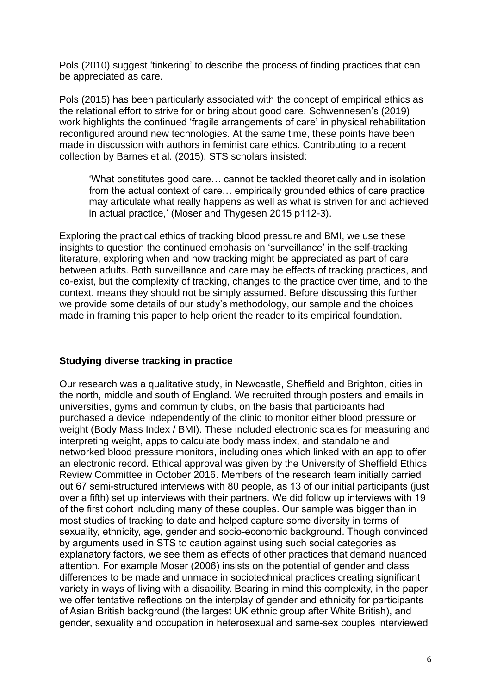Pols (2010) suggest 'tinkering' to describe the process of finding practices that can be appreciated as care.

Pols (2015) has been particularly associated with the concept of empirical ethics as the relational effort to strive for or bring about good care. Schwennesen's (2019) work highlights the continued 'fragile arrangements of care' in physical rehabilitation reconfigured around new technologies. At the same time, these points have been made in discussion with authors in feminist care ethics. Contributing to a recent collection by Barnes et al. (2015), STS scholars insisted:

'What constitutes good care… cannot be tackled theoretically and in isolation from the actual context of care… empirically grounded ethics of care practice may articulate what really happens as well as what is striven for and achieved in actual practice,' (Moser and Thygesen 2015 p112-3).

Exploring the practical ethics of tracking blood pressure and BMI, we use these insights to question the continued emphasis on 'surveillance' in the self-tracking literature, exploring when and how tracking might be appreciated as part of care between adults. Both surveillance and care may be effects of tracking practices, and co-exist, but the complexity of tracking, changes to the practice over time, and to the context, means they should not be simply assumed. Before discussing this further we provide some details of our study's methodology, our sample and the choices made in framing this paper to help orient the reader to its empirical foundation.

# **Studying diverse tracking in practice**

Our research was a qualitative study, in Newcastle, Sheffield and Brighton, cities in the north, middle and south of England. We recruited through posters and emails in universities, gyms and community clubs, on the basis that participants had purchased a device independently of the clinic to monitor either blood pressure or weight (Body Mass Index / BMI). These included electronic scales for measuring and interpreting weight, apps to calculate body mass index, and standalone and networked blood pressure monitors, including ones which linked with an app to offer an electronic record. Ethical approval was given by the University of Sheffield Ethics Review Committee in October 2016. Members of the research team initially carried out 67 semi-structured interviews with 80 people, as 13 of our initial participants (just over a fifth) set up interviews with their partners. We did follow up interviews with 19 of the first cohort including many of these couples. Our sample was bigger than in most studies of tracking to date and helped capture some diversity in terms of sexuality, ethnicity, age, gender and socio-economic background. Though convinced by arguments used in STS to caution against using such social categories as explanatory factors, we see them as effects of other practices that demand nuanced attention. For example Moser (2006) insists on the potential of gender and class differences to be made and unmade in sociotechnical practices creating significant variety in ways of living with a disability. Bearing in mind this complexity, in the paper we offer tentative reflections on the interplay of gender and ethnicity for participants of Asian British background (the largest UK ethnic group after White British), and gender, sexuality and occupation in heterosexual and same-sex couples interviewed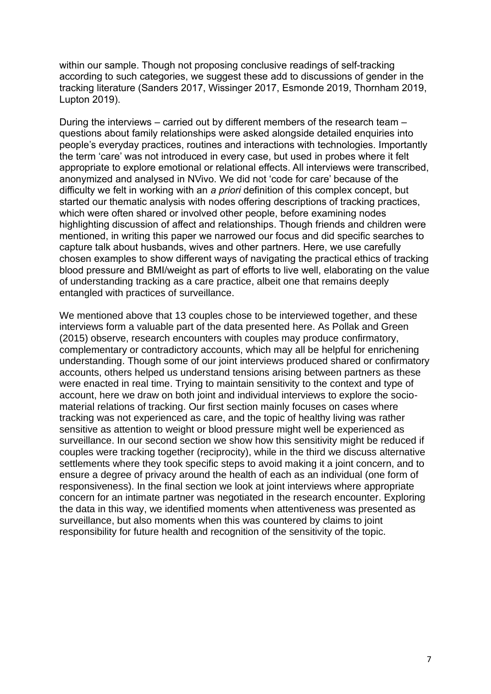within our sample. Though not proposing conclusive readings of self-tracking according to such categories, we suggest these add to discussions of gender in the tracking literature (Sanders 2017, Wissinger 2017, Esmonde 2019, Thornham 2019, Lupton 2019).

During the interviews – carried out by different members of the research team – questions about family relationships were asked alongside detailed enquiries into people's everyday practices, routines and interactions with technologies. Importantly the term 'care' was not introduced in every case, but used in probes where it felt appropriate to explore emotional or relational effects. All interviews were transcribed, anonymized and analysed in NVivo. We did not 'code for care' because of the difficulty we felt in working with an *a priori* definition of this complex concept, but started our thematic analysis with nodes offering descriptions of tracking practices, which were often shared or involved other people, before examining nodes highlighting discussion of affect and relationships. Though friends and children were mentioned, in writing this paper we narrowed our focus and did specific searches to capture talk about husbands, wives and other partners. Here, we use carefully chosen examples to show different ways of navigating the practical ethics of tracking blood pressure and BMI/weight as part of efforts to live well, elaborating on the value of understanding tracking as a care practice, albeit one that remains deeply entangled with practices of surveillance.

We mentioned above that 13 couples chose to be interviewed together, and these interviews form a valuable part of the data presented here. As Pollak and Green (2015) observe, research encounters with couples may produce confirmatory, complementary or contradictory accounts, which may all be helpful for enrichening understanding. Though some of our joint interviews produced shared or confirmatory accounts, others helped us understand tensions arising between partners as these were enacted in real time. Trying to maintain sensitivity to the context and type of account, here we draw on both joint and individual interviews to explore the sociomaterial relations of tracking. Our first section mainly focuses on cases where tracking was not experienced as care, and the topic of healthy living was rather sensitive as attention to weight or blood pressure might well be experienced as surveillance. In our second section we show how this sensitivity might be reduced if couples were tracking together (reciprocity), while in the third we discuss alternative settlements where they took specific steps to avoid making it a joint concern, and to ensure a degree of privacy around the health of each as an individual (one form of responsiveness). In the final section we look at joint interviews where appropriate concern for an intimate partner was negotiated in the research encounter. Exploring the data in this way, we identified moments when attentiveness was presented as surveillance, but also moments when this was countered by claims to joint responsibility for future health and recognition of the sensitivity of the topic.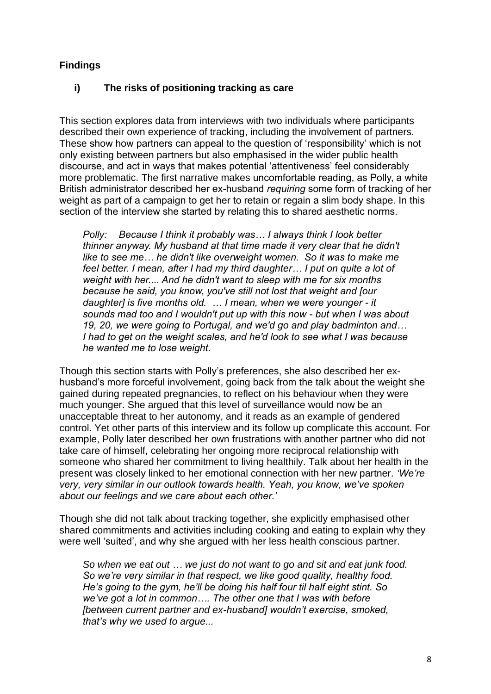# **Findings**

# **i) The risks of positioning tracking as care**

This section explores data from interviews with two individuals where participants described their own experience of tracking, including the involvement of partners. These show how partners can appeal to the question of 'responsibility' which is not only existing between partners but also emphasised in the wider public health discourse, and act in ways that makes potential 'attentiveness' feel considerably more problematic. The first narrative makes uncomfortable reading, as Polly, a white British administrator described her ex-husband *requiring* some form of tracking of her weight as part of a campaign to get her to retain or regain a slim body shape. In this section of the interview she started by relating this to shared aesthetic norms.

*Polly: Because I think it probably was… I always think I look better thinner anyway. My husband at that time made it very clear that he didn't like to see me… he didn't like overweight women. So it was to make me feel better. I mean, after I had my third daughter… I put on quite a lot of weight with her.... And he didn't want to sleep with me for six months because he said, you know, you've still not lost that weight and [our daughter] is five months old. … I mean, when we were younger - it sounds mad too and I wouldn't put up with this now - but when I was about 19, 20, we were going to Portugal, and we'd go and play badminton and… I had to get on the weight scales, and he'd look to see what I was because he wanted me to lose weight.* 

Though this section starts with Polly's preferences, she also described her exhusband's more forceful involvement, going back from the talk about the weight she gained during repeated pregnancies, to reflect on his behaviour when they were much younger. She argued that this level of surveillance would now be an unacceptable threat to her autonomy, and it reads as an example of gendered control. Yet other parts of this interview and its follow up complicate this account. For example, Polly later described her own frustrations with another partner who did not take care of himself, celebrating her ongoing more reciprocal relationship with someone who shared her commitment to living healthily. Talk about her health in the present was closely linked to her emotional connection with her new partner. *'We're very, very similar in our outlook towards health. Yeah, you know, we've spoken about our feelings and we care about each other.'* 

Though she did not talk about tracking together, she explicitly emphasised other shared commitments and activities including cooking and eating to explain why they were well 'suited', and why she argued with her less health conscious partner.

*So when we eat out … we just do not want to go and sit and eat junk food. So we're very similar in that respect, we like good quality, healthy food. He's going to the gym, he'll be doing his half four til half eight stint. So we've got a lot in common…. The other one that I was with before [between current partner and ex-husband] wouldn't exercise, smoked, that's why we used to argue...*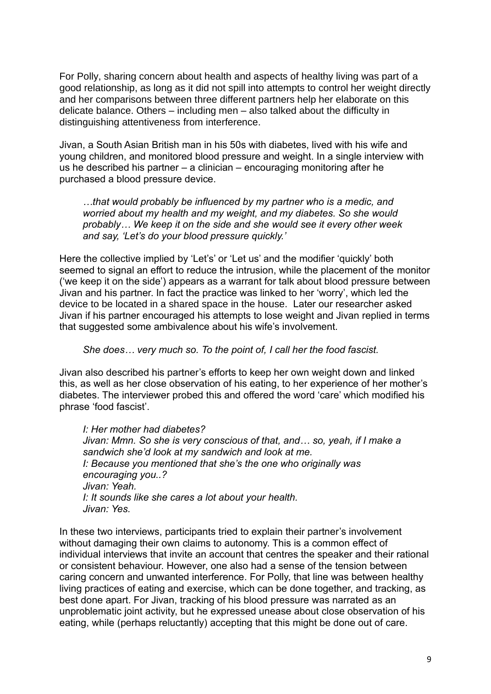For Polly, sharing concern about health and aspects of healthy living was part of a good relationship, as long as it did not spill into attempts to control her weight directly and her comparisons between three different partners help her elaborate on this delicate balance. Others – including men – also talked about the difficulty in distinguishing attentiveness from interference.

Jivan, a South Asian British man in his 50s with diabetes, lived with his wife and young children, and monitored blood pressure and weight. In a single interview with us he described his partner – a clinician – encouraging monitoring after he purchased a blood pressure device.

*…that would probably be influenced by my partner who is a medic, and worried about my health and my weight, and my diabetes. So she would probably… We keep it on the side and she would see it every other week and say, 'Let's do your blood pressure quickly.'*

Here the collective implied by 'Let's' or 'Let us' and the modifier 'quickly' both seemed to signal an effort to reduce the intrusion, while the placement of the monitor ('we keep it on the side') appears as a warrant for talk about blood pressure between Jivan and his partner. In fact the practice was linked to her 'worry', which led the device to be located in a shared space in the house. Later our researcher asked Jivan if his partner encouraged his attempts to lose weight and Jivan replied in terms that suggested some ambivalence about his wife's involvement.

*She does… very much so. To the point of, I call her the food fascist.*

Jivan also described his partner's efforts to keep her own weight down and linked this, as well as her close observation of his eating, to her experience of her mother's diabetes. The interviewer probed this and offered the word 'care' which modified his phrase 'food fascist'.

*I: Her mother had diabetes? Jivan: Mmn. So she is very conscious of that, and… so, yeah, if I make a sandwich she'd look at my sandwich and look at me. I: Because you mentioned that she's the one who originally was encouraging you..? Jivan: Yeah. I: It sounds like she cares a lot about your health. Jivan: Yes.* 

In these two interviews, participants tried to explain their partner's involvement without damaging their own claims to autonomy. This is a common effect of individual interviews that invite an account that centres the speaker and their rational or consistent behaviour. However, one also had a sense of the tension between caring concern and unwanted interference. For Polly, that line was between healthy living practices of eating and exercise, which can be done together, and tracking, as best done apart. For Jivan, tracking of his blood pressure was narrated as an unproblematic joint activity, but he expressed unease about close observation of his eating, while (perhaps reluctantly) accepting that this might be done out of care.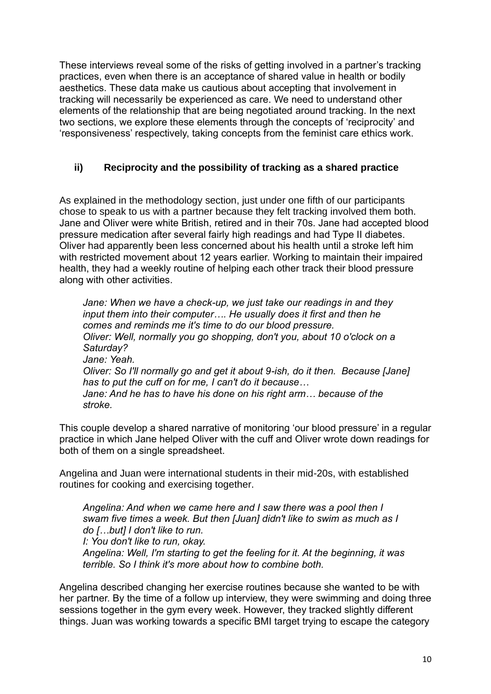These interviews reveal some of the risks of getting involved in a partner's tracking practices, even when there is an acceptance of shared value in health or bodily aesthetics. These data make us cautious about accepting that involvement in tracking will necessarily be experienced as care. We need to understand other elements of the relationship that are being negotiated around tracking. In the next two sections, we explore these elements through the concepts of 'reciprocity' and 'responsiveness' respectively, taking concepts from the feminist care ethics work.

# **ii) Reciprocity and the possibility of tracking as a shared practice**

As explained in the methodology section, just under one fifth of our participants chose to speak to us with a partner because they felt tracking involved them both. Jane and Oliver were white British, retired and in their 70s. Jane had accepted blood pressure medication after several fairly high readings and had Type II diabetes. Oliver had apparently been less concerned about his health until a stroke left him with restricted movement about 12 years earlier. Working to maintain their impaired health, they had a weekly routine of helping each other track their blood pressure along with other activities.

*Jane: When we have a check-up, we just take our readings in and they input them into their computer…. He usually does it first and then he comes and reminds me it's time to do our blood pressure. Oliver: Well, normally you go shopping, don't you, about 10 o'clock on a Saturday? Jane: Yeah. Oliver: So I'll normally go and get it about 9-ish, do it then. Because [Jane] has to put the cuff on for me, I can't do it because… Jane: And he has to have his done on his right arm… because of the stroke.* 

This couple develop a shared narrative of monitoring 'our blood pressure' in a regular practice in which Jane helped Oliver with the cuff and Oliver wrote down readings for both of them on a single spreadsheet.

Angelina and Juan were international students in their mid-20s, with established routines for cooking and exercising together.

*Angelina: And when we came here and I saw there was a pool then I swam five times a week. But then [Juan] didn't like to swim as much as I do […but] I don't like to run. I: You don't like to run, okay. Angelina: Well, I'm starting to get the feeling for it. At the beginning, it was terrible. So I think it's more about how to combine both.* 

Angelina described changing her exercise routines because she wanted to be with her partner. By the time of a follow up interview, they were swimming and doing three sessions together in the gym every week. However, they tracked slightly different things. Juan was working towards a specific BMI target trying to escape the category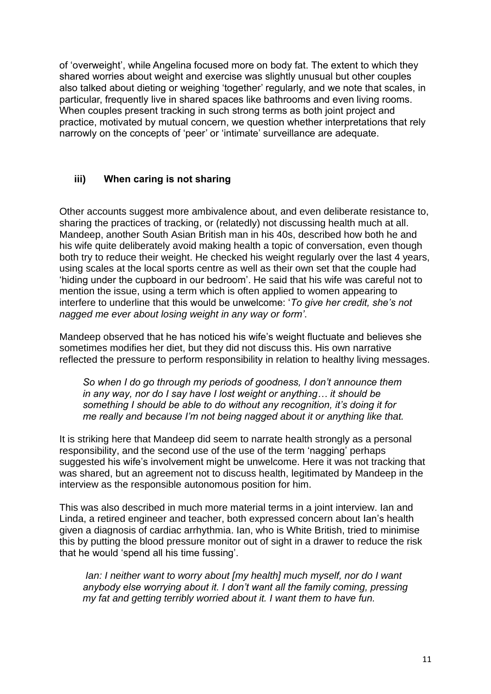of 'overweight', while Angelina focused more on body fat. The extent to which they shared worries about weight and exercise was slightly unusual but other couples also talked about dieting or weighing 'together' regularly, and we note that scales, in particular, frequently live in shared spaces like bathrooms and even living rooms. When couples present tracking in such strong terms as both joint project and practice, motivated by mutual concern, we question whether interpretations that rely narrowly on the concepts of 'peer' or 'intimate' surveillance are adequate.

# **iii) When caring is not sharing**

Other accounts suggest more ambivalence about, and even deliberate resistance to, sharing the practices of tracking, or (relatedly) not discussing health much at all. Mandeep, another South Asian British man in his 40s, described how both he and his wife quite deliberately avoid making health a topic of conversation, even though both try to reduce their weight. He checked his weight regularly over the last 4 years, using scales at the local sports centre as well as their own set that the couple had 'hiding under the cupboard in our bedroom'. He said that his wife was careful not to mention the issue, using a term which is often applied to women appearing to interfere to underline that this would be unwelcome: '*To give her credit, she's not nagged me ever about losing weight in any way or form'*.

Mandeep observed that he has noticed his wife's weight fluctuate and believes she sometimes modifies her diet, but they did not discuss this. His own narrative reflected the pressure to perform responsibility in relation to healthy living messages.

*So when I do go through my periods of goodness, I don't announce them in any way, nor do I say have I lost weight or anything… it should be something I should be able to do without any recognition, it's doing it for me really and because I'm not being nagged about it or anything like that.* 

It is striking here that Mandeep did seem to narrate health strongly as a personal responsibility, and the second use of the use of the term 'nagging' perhaps suggested his wife's involvement might be unwelcome. Here it was not tracking that was shared, but an agreement not to discuss health, legitimated by Mandeep in the interview as the responsible autonomous position for him.

This was also described in much more material terms in a joint interview. Ian and Linda, a retired engineer and teacher, both expressed concern about Ian's health given a diagnosis of cardiac arrhythmia. Ian, who is White British, tried to minimise this by putting the blood pressure monitor out of sight in a drawer to reduce the risk that he would 'spend all his time fussing'.

*Ian: I neither want to worry about [my health] much myself, nor do I want anybody else worrying about it. I don't want all the family coming, pressing my fat and getting terribly worried about it. I want them to have fun.*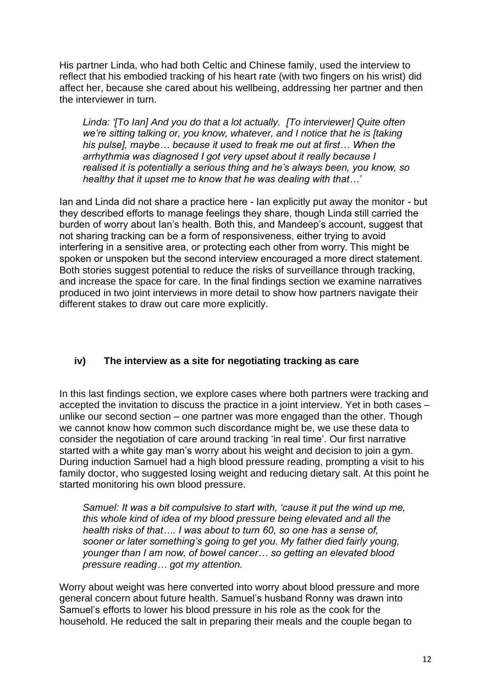His partner Linda, who had both Celtic and Chinese family, used the interview to reflect that his embodied tracking of his heart rate (with two fingers on his wrist) did affect her, because she cared about his wellbeing, addressing her partner and then the interviewer in turn.

*Linda: '[To Ian] And you do that a lot actually. [To interviewer] Quite often we're sitting talking or, you know, whatever, and I notice that he is [taking his pulse], maybe… because it used to freak me out at first… When the arrhythmia was diagnosed I got very upset about it really because I realised it is potentially a serious thing and he's always been, you know, so healthy that it upset me to know that he was dealing with that…'* 

Ian and Linda did not share a practice here - Ian explicitly put away the monitor - but they described efforts to manage feelings they share, though Linda still carried the burden of worry about Ian's health. Both this, and Mandeep's account, suggest that not sharing tracking can be a form of responsiveness, either trying to avoid interfering in a sensitive area, or protecting each other from worry. This might be spoken or unspoken but the second interview encouraged a more direct statement. Both stories suggest potential to reduce the risks of surveillance through tracking. and increase the space for care. In the final findings section we examine narratives produced in two joint interviews in more detail to show how partners navigate their different stakes to draw out care more explicitly.

# **iv) The interview as a site for negotiating tracking as care**

In this last findings section, we explore cases where both partners were tracking and accepted the invitation to discuss the practice in a joint interview. Yet in both cases – unlike our second section – one partner was more engaged than the other. Though we cannot know how common such discordance might be, we use these data to consider the negotiation of care around tracking 'in real time'. Our first narrative started with a white gay man's worry about his weight and decision to join a gym. During induction Samuel had a high blood pressure reading, prompting a visit to his family doctor, who suggested losing weight and reducing dietary salt. At this point he started monitoring his own blood pressure.

*Samuel: It was a bit compulsive to start with, 'cause it put the wind up me, this whole kind of idea of my blood pressure being elevated and all the health risks of that…. I was about to turn 60, so one has a sense of, sooner or later something's going to get you. My father died fairly young, younger than I am now, of bowel cancer… so getting an elevated blood pressure reading… got my attention.*

Worry about weight was here converted into worry about blood pressure and more general concern about future health. Samuel's husband Ronny was drawn into Samuel's efforts to lower his blood pressure in his role as the cook for the household. He reduced the salt in preparing their meals and the couple began to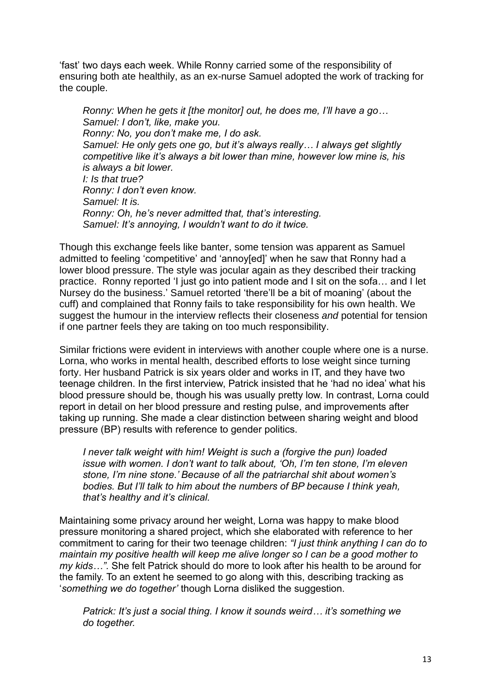'fast' two days each week. While Ronny carried some of the responsibility of ensuring both ate healthily, as an ex-nurse Samuel adopted the work of tracking for the couple.

*Ronny: When he gets it [the monitor] out, he does me, I'll have a go… Samuel: I don't, like, make you. Ronny: No, you don't make me, I do ask. Samuel: He only gets one go, but it's always really… I always get slightly competitive like it's always a bit lower than mine, however low mine is, his is always a bit lower. I: Is that true? Ronny: I don't even know. Samuel: It is. Ronny: Oh, he's never admitted that, that's interesting. Samuel: It's annoying, I wouldn't want to do it twice.* 

Though this exchange feels like banter, some tension was apparent as Samuel admitted to feeling 'competitive' and 'annoy[ed]' when he saw that Ronny had a lower blood pressure. The style was jocular again as they described their tracking practice. Ronny reported 'I just go into patient mode and I sit on the sofa… and I let Nursey do the business.' Samuel retorted 'there'll be a bit of moaning' (about the cuff) and complained that Ronny fails to take responsibility for his own health. We suggest the humour in the interview reflects their closeness *and* potential for tension if one partner feels they are taking on too much responsibility.

Similar frictions were evident in interviews with another couple where one is a nurse. Lorna, who works in mental health, described efforts to lose weight since turning forty. Her husband Patrick is six years older and works in IT, and they have two teenage children. In the first interview, Patrick insisted that he 'had no idea' what his blood pressure should be, though his was usually pretty low. In contrast, Lorna could report in detail on her blood pressure and resting pulse, and improvements after taking up running. She made a clear distinction between sharing weight and blood pressure (BP) results with reference to gender politics.

*I never talk weight with him! Weight is such a (forgive the pun) loaded issue with women. I don't want to talk about, 'Oh, I'm ten stone, I'm eleven stone, I'm nine stone.' Because of all the patriarchal shit about women's bodies. But I'll talk to him about the numbers of BP because I think yeah, that's healthy and it's clinical.*

Maintaining some privacy around her weight, Lorna was happy to make blood pressure monitoring a shared project, which she elaborated with reference to her commitment to caring for their two teenage children: *"I just think anything I can do to maintain my positive health will keep me alive longer so I can be a good mother to my kids…".* She felt Patrick should do more to look after his health to be around for the family. To an extent he seemed to go along with this, describing tracking as '*something we do together'* though Lorna disliked the suggestion.

*Patrick: It's just a social thing. I know it sounds weird… it's something we do together.*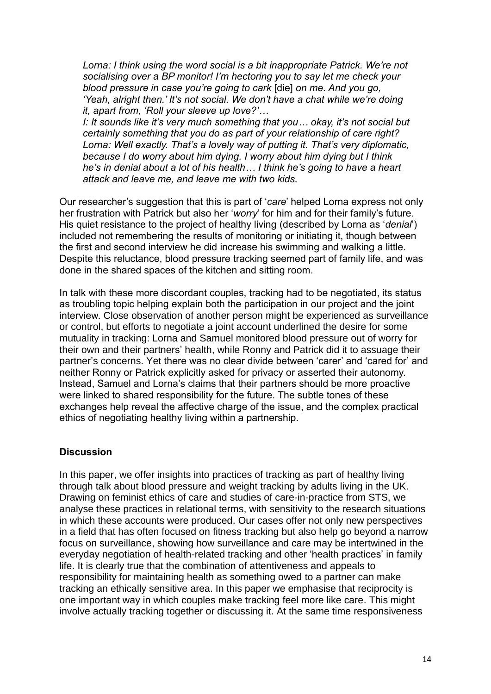Lorna: I think using the word social is a bit inappropriate Patrick. We're not *socialising over a BP monitor! I'm hectoring you to say let me check your blood pressure in case you're going to cark* [die] *on me. And you go, 'Yeah, alright then.' It's not social. We don't have a chat while we're doing it, apart from, 'Roll your sleeve up love?'…*

*I: It sounds like it's very much something that you… okay, it's not social but certainly something that you do as part of your relationship of care right? Lorna: Well exactly. That's a lovely way of putting it. That's very diplomatic, because I do worry about him dying. I worry about him dying but I think he's in denial about a lot of his health… I think he's going to have a heart attack and leave me, and leave me with two kids.* 

Our researcher's suggestion that this is part of '*care*' helped Lorna express not only her frustration with Patrick but also her '*worry*' for him and for their family's future. His quiet resistance to the project of healthy living (described by Lorna as '*denial*') included not remembering the results of monitoring or initiating it, though between the first and second interview he did increase his swimming and walking a little. Despite this reluctance, blood pressure tracking seemed part of family life, and was done in the shared spaces of the kitchen and sitting room.

In talk with these more discordant couples, tracking had to be negotiated, its status as troubling topic helping explain both the participation in our project and the joint interview. Close observation of another person might be experienced as surveillance or control, but efforts to negotiate a joint account underlined the desire for some mutuality in tracking: Lorna and Samuel monitored blood pressure out of worry for their own and their partners' health, while Ronny and Patrick did it to assuage their partner's concerns. Yet there was no clear divide between 'carer' and 'cared for' and neither Ronny or Patrick explicitly asked for privacy or asserted their autonomy. Instead, Samuel and Lorna's claims that their partners should be more proactive were linked to shared responsibility for the future. The subtle tones of these exchanges help reveal the affective charge of the issue, and the complex practical ethics of negotiating healthy living within a partnership.

#### **Discussion**

In this paper, we offer insights into practices of tracking as part of healthy living through talk about blood pressure and weight tracking by adults living in the UK. Drawing on feminist ethics of care and studies of care-in-practice from STS, we analyse these practices in relational terms, with sensitivity to the research situations in which these accounts were produced. Our cases offer not only new perspectives in a field that has often focused on fitness tracking but also help go beyond a narrow focus on surveillance, showing how surveillance and care may be intertwined in the everyday negotiation of health-related tracking and other 'health practices' in family life. It is clearly true that the combination of attentiveness and appeals to responsibility for maintaining health as something owed to a partner can make tracking an ethically sensitive area. In this paper we emphasise that reciprocity is one important way in which couples make tracking feel more like care. This might involve actually tracking together or discussing it. At the same time responsiveness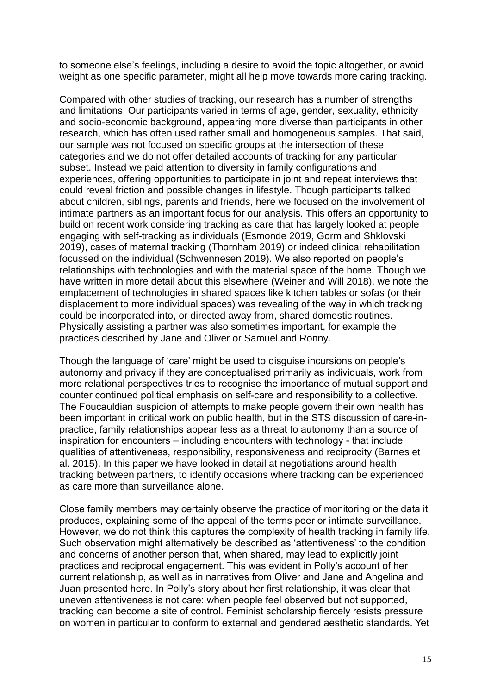to someone else's feelings, including a desire to avoid the topic altogether, or avoid weight as one specific parameter, might all help move towards more caring tracking.

Compared with other studies of tracking, our research has a number of strengths and limitations. Our participants varied in terms of age, gender, sexuality, ethnicity and socio-economic background, appearing more diverse than participants in other research, which has often used rather small and homogeneous samples. That said, our sample was not focused on specific groups at the intersection of these categories and we do not offer detailed accounts of tracking for any particular subset. Instead we paid attention to diversity in family configurations and experiences, offering opportunities to participate in joint and repeat interviews that could reveal friction and possible changes in lifestyle. Though participants talked about children, siblings, parents and friends, here we focused on the involvement of intimate partners as an important focus for our analysis. This offers an opportunity to build on recent work considering tracking as care that has largely looked at people engaging with self-tracking as individuals (Esmonde 2019, Gorm and Shklovski 2019), cases of maternal tracking (Thornham 2019) or indeed clinical rehabilitation focussed on the individual (Schwennesen 2019). We also reported on people's relationships with technologies and with the material space of the home. Though we have written in more detail about this elsewhere (Weiner and Will 2018), we note the emplacement of technologies in shared spaces like kitchen tables or sofas (or their displacement to more individual spaces) was revealing of the way in which tracking could be incorporated into, or directed away from, shared domestic routines. Physically assisting a partner was also sometimes important, for example the practices described by Jane and Oliver or Samuel and Ronny.

Though the language of 'care' might be used to disguise incursions on people's autonomy and privacy if they are conceptualised primarily as individuals, work from more relational perspectives tries to recognise the importance of mutual support and counter continued political emphasis on self-care and responsibility to a collective. The Foucauldian suspicion of attempts to make people govern their own health has been important in critical work on public health, but in the STS discussion of care-inpractice, family relationships appear less as a threat to autonomy than a source of inspiration for encounters – including encounters with technology - that include qualities of attentiveness, responsibility, responsiveness and reciprocity (Barnes et al. 2015). In this paper we have looked in detail at negotiations around health tracking between partners, to identify occasions where tracking can be experienced as care more than surveillance alone.

Close family members may certainly observe the practice of monitoring or the data it produces, explaining some of the appeal of the terms peer or intimate surveillance. However, we do not think this captures the complexity of health tracking in family life. Such observation might alternatively be described as 'attentiveness' to the condition and concerns of another person that, when shared, may lead to explicitly joint practices and reciprocal engagement. This was evident in Polly's account of her current relationship, as well as in narratives from Oliver and Jane and Angelina and Juan presented here. In Polly's story about her first relationship, it was clear that uneven attentiveness is not care: when people feel observed but not supported, tracking can become a site of control. Feminist scholarship fiercely resists pressure on women in particular to conform to external and gendered aesthetic standards. Yet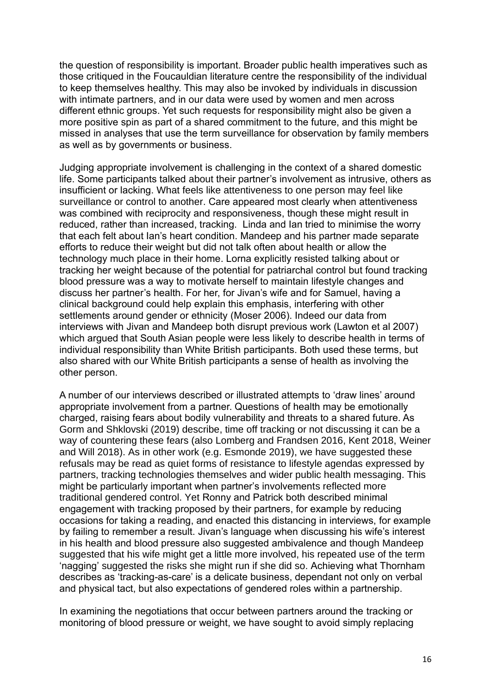the question of responsibility is important. Broader public health imperatives such as those critiqued in the Foucauldian literature centre the responsibility of the individual to keep themselves healthy. This may also be invoked by individuals in discussion with intimate partners, and in our data were used by women and men across different ethnic groups. Yet such requests for responsibility might also be given a more positive spin as part of a shared commitment to the future, and this might be missed in analyses that use the term surveillance for observation by family members as well as by governments or business.

Judging appropriate involvement is challenging in the context of a shared domestic life. Some participants talked about their partner's involvement as intrusive, others as insufficient or lacking. What feels like attentiveness to one person may feel like surveillance or control to another. Care appeared most clearly when attentiveness was combined with reciprocity and responsiveness, though these might result in reduced, rather than increased, tracking. Linda and Ian tried to minimise the worry that each felt about Ian's heart condition. Mandeep and his partner made separate efforts to reduce their weight but did not talk often about health or allow the technology much place in their home. Lorna explicitly resisted talking about or tracking her weight because of the potential for patriarchal control but found tracking blood pressure was a way to motivate herself to maintain lifestyle changes and discuss her partner's health. For her, for Jivan's wife and for Samuel, having a clinical background could help explain this emphasis, interfering with other settlements around gender or ethnicity (Moser 2006). Indeed our data from interviews with Jivan and Mandeep both disrupt previous work (Lawton et al 2007) which argued that South Asian people were less likely to describe health in terms of individual responsibility than White British participants. Both used these terms, but also shared with our White British participants a sense of health as involving the other person.

A number of our interviews described or illustrated attempts to 'draw lines' around appropriate involvement from a partner. Questions of health may be emotionally charged, raising fears about bodily vulnerability and threats to a shared future. As Gorm and Shklovski (2019) describe, time off tracking or not discussing it can be a way of countering these fears (also Lomberg and Frandsen 2016, Kent 2018, Weiner and Will 2018). As in other work (e.g. Esmonde 2019), we have suggested these refusals may be read as quiet forms of resistance to lifestyle agendas expressed by partners, tracking technologies themselves and wider public health messaging. This might be particularly important when partner's involvements reflected more traditional gendered control. Yet Ronny and Patrick both described minimal engagement with tracking proposed by their partners, for example by reducing occasions for taking a reading, and enacted this distancing in interviews, for example by failing to remember a result. Jivan's language when discussing his wife's interest in his health and blood pressure also suggested ambivalence and though Mandeep suggested that his wife might get a little more involved, his repeated use of the term 'nagging' suggested the risks she might run if she did so. Achieving what Thornham describes as 'tracking-as-care' is a delicate business, dependant not only on verbal and physical tact, but also expectations of gendered roles within a partnership.

In examining the negotiations that occur between partners around the tracking or monitoring of blood pressure or weight, we have sought to avoid simply replacing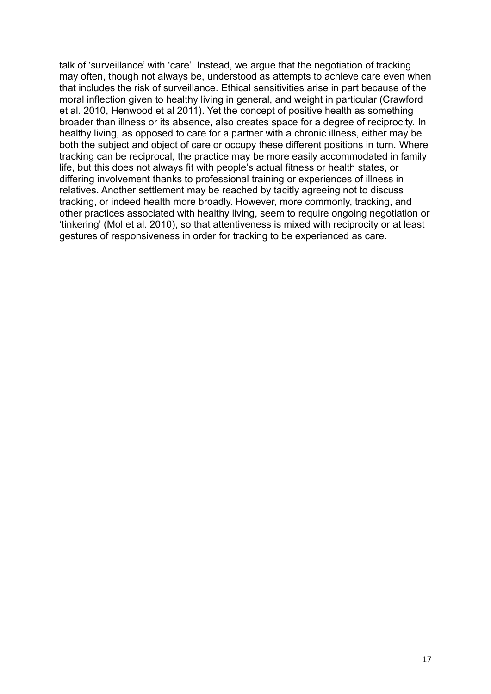talk of 'surveillance' with 'care'. Instead, we argue that the negotiation of tracking may often, though not always be, understood as attempts to achieve care even when that includes the risk of surveillance. Ethical sensitivities arise in part because of the moral inflection given to healthy living in general, and weight in particular (Crawford et al. 2010, Henwood et al 2011). Yet the concept of positive health as something broader than illness or its absence, also creates space for a degree of reciprocity. In healthy living, as opposed to care for a partner with a chronic illness, either may be both the subject and object of care or occupy these different positions in turn. Where tracking can be reciprocal, the practice may be more easily accommodated in family life, but this does not always fit with people's actual fitness or health states, or differing involvement thanks to professional training or experiences of illness in relatives. Another settlement may be reached by tacitly agreeing not to discuss tracking, or indeed health more broadly. However, more commonly, tracking, and other practices associated with healthy living, seem to require ongoing negotiation or 'tinkering' (Mol et al. 2010), so that attentiveness is mixed with reciprocity or at least gestures of responsiveness in order for tracking to be experienced as care.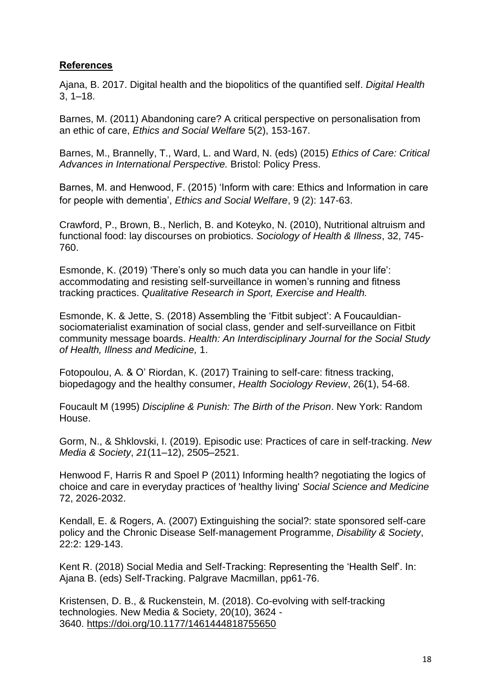### **References**

Ajana, B. 2017. Digital health and the biopolitics of the quantified self. *Digital Health* 3, 1–18.

Barnes, M. (2011) Abandoning care? A critical perspective on personalisation from an ethic of care, *Ethics and Social Welfare* 5(2), 153-167.

Barnes, M., Brannelly, T., Ward, L. and Ward, N. (eds) (2015) *Ethics of Care: Critical Advances in International Perspective.* Bristol: Policy Press.

Barnes, M. and Henwood, F. (2015) 'Inform with care: Ethics and Information in care for people with dementia', *Ethics and Social Welfare*, 9 (2): 147-63.

Crawford, P., Brown, B., Nerlich, B. and Koteyko, N. (2010), Nutritional altruism and functional food: lay discourses on probiotics. *Sociology of Health & Illness*, 32, 745- 760.

Esmonde, K. (2019) 'There's only so much data you can handle in your life': accommodating and resisting self-surveillance in women's running and fitness tracking practices. *Qualitative Research in Sport, Exercise and Health.* 

Esmonde, K. & Jette, S. (2018) Assembling the 'Fitbit subject': A Foucauldiansociomaterialist examination of social class, gender and self-surveillance on Fitbit community message boards. *Health: An Interdisciplinary Journal for the Social Study of Health, Illness and Medicine,* 1.

Fotopoulou, A. & O' Riordan, K. (2017) Training to self-care: fitness tracking, biopedagogy and the healthy consumer, *Health Sociology Review*, 26(1), 54-68.

Foucault M (1995) *Discipline & Punish: The Birth of the Prison*. New York: Random House.

Gorm, N., & Shklovski, I. (2019). Episodic use: Practices of care in self-tracking. *New Media & Society*, *21*(11–12), 2505–2521.

Henwood F, Harris R and Spoel P (2011) Informing health? negotiating the logics of choice and care in everyday practices of 'healthy living' *Social Science and Medicine* 72, 2026-2032.

Kendall, E. & Rogers, A. (2007) Extinguishing the social?: state sponsored self‐care policy and the Chronic Disease Self‐management Programme, *Disability & Society*, 22:2: 129-143.

Kent R. (2018) Social Media and Self-Tracking: Representing the 'Health Self'. In: Ajana B. (eds) Self-Tracking. Palgrave Macmillan, pp61-76.

Kristensen, D. B., & Ruckenstein, M. (2018). Co-evolving with self-tracking technologies. New Media & Society, 20(10), 3624 - 3640. <https://doi.org/10.1177/1461444818755650>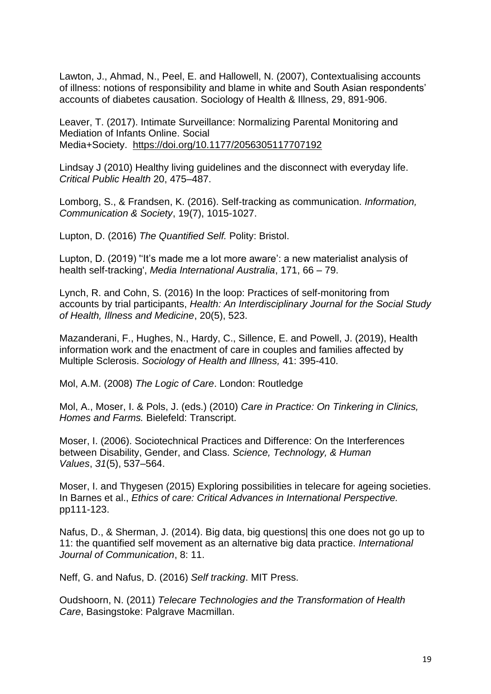Lawton, J., Ahmad, N., Peel, E. and Hallowell, N. (2007), Contextualising accounts of illness: notions of responsibility and blame in white and South Asian respondents' accounts of diabetes causation. Sociology of Health & Illness, 29, 891-906.

Leaver, T. (2017). Intimate Surveillance: Normalizing Parental Monitoring and Mediation of Infants Online. Social Media+Society. <https://doi.org/10.1177/2056305117707192>

Lindsay J (2010) Healthy living guidelines and the disconnect with everyday life. *Critical Public Health* 20, 475–487.

Lomborg, S., & Frandsen, K. (2016). Self-tracking as communication. *Information, Communication & Society*, 19(7), 1015-1027.

Lupton, D. (2016) *The Quantified Self.* Polity: Bristol.

Lupton, D. (2019) ''It's made me a lot more aware': a new materialist analysis of health self-tracking', *Media International Australia*, 171, 66 – 79.

Lynch, R. and Cohn, S. (2016) In the loop: Practices of self-monitoring from accounts by trial participants, *Health: An Interdisciplinary Journal for the Social Study of Health, Illness and Medicine*, 20(5), 523.

Mazanderani, F., Hughes, N., Hardy, C., Sillence, E. and Powell, J. (2019), Health information work and the enactment of care in couples and families affected by Multiple Sclerosis. *Sociology of Health and Illness,* 41: 395-410.

Mol, A.M. (2008) *The Logic of Care*. London: Routledge

Mol, A., Moser, I. & Pols, J. (eds.) (2010) *Care in Practice: On Tinkering in Clinics, Homes and Farms.* Bielefeld: Transcript.

Moser, I. (2006). Sociotechnical Practices and Difference: On the Interferences between Disability, Gender, and Class. *Science, Technology, & Human Values*, *31*(5), 537–564.

Moser, I. and Thygesen (2015) Exploring possibilities in telecare for ageing societies. In Barnes et al., *Ethics of care: Critical Advances in International Perspective.* pp111-123.

Nafus, D., & Sherman, J. (2014). Big data, big questions| this one does not go up to 11: the quantified self movement as an alternative big data practice. *International Journal of Communication*, 8: 11.

Neff, G. and Nafus, D. (2016) *Self tracking*. MIT Press.

Oudshoorn, N. (2011) *Telecare Technologies and the Transformation of Health Care*, Basingstoke: Palgrave Macmillan.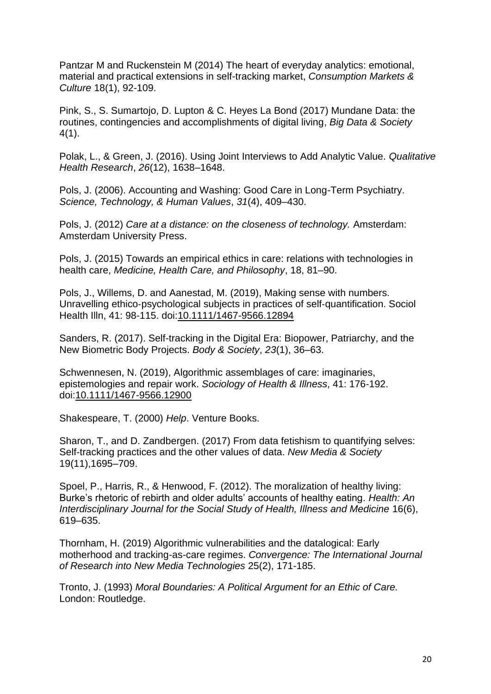Pantzar M and Ruckenstein M (2014) The heart of everyday analytics: emotional, material and practical extensions in self-tracking market, *Consumption Markets & Culture* 18(1), 92-109.

Pink, S., S. Sumartojo, D. Lupton & C. Heyes La Bond (2017) Mundane Data: the routines, contingencies and accomplishments of digital living, *Big Data & Society* 4(1).

Polak, L., & Green, J. (2016). Using Joint Interviews to Add Analytic Value. *Qualitative Health Research*, *26*(12), 1638–1648.

Pols, J. (2006). Accounting and Washing: Good Care in Long-Term Psychiatry. *Science, Technology, & Human Values*, *31*(4), 409–430.

Pols, J. (2012) *Care at a distance: on the closeness of technology.* Amsterdam: Amsterdam University Press.

Pols, J. (2015) Towards an empirical ethics in care: relations with technologies in health care, *Medicine, Health Care, and Philosophy*, 18, 81–90.

Pols, J., Willems, D. and Aanestad, M. (2019), Making sense with numbers. Unravelling ethico‐psychological subjects in practices of self‐quantification. Sociol Health Illn, 41: 98-115. doi[:10.1111/1467-9566.12894](https://doi.org/10.1111/1467-9566.12894)

Sanders, R. (2017). Self-tracking in the Digital Era: Biopower, Patriarchy, and the New Biometric Body Projects. *Body & Society*, *23*(1), 36–63.

Schwennesen, N. (2019), Algorithmic assemblages of care: imaginaries, epistemologies and repair work. *Sociology of Health & Illness*, 41: 176-192. doi[:10.1111/1467-9566.12900](https://doi.org/10.1111/1467-9566.12900)

Shakespeare, T. (2000) *Help*. Venture Books.

Sharon, T., and D. Zandbergen. (2017) From data fetishism to quantifying selves: Self-tracking practices and the other values of data. *New Media & Society* 19(11),1695–709.

Spoel, P., Harris, R., & Henwood, F. (2012). The moralization of healthy living: Burke's rhetoric of rebirth and older adults' accounts of healthy eating. *Health: An Interdisciplinary Journal for the Social Study of Health, Illness and Medicine* 16(6), 619–635.

Thornham, H. (2019) Algorithmic vulnerabilities and the datalogical: Early motherhood and tracking-as-care regimes. *Convergence: The International Journal of Research into New Media Technologies* 25(2), 171-185.

Tronto, J. (1993) *Moral Boundaries: A Political Argument for an Ethic of Care.*  London: Routledge.